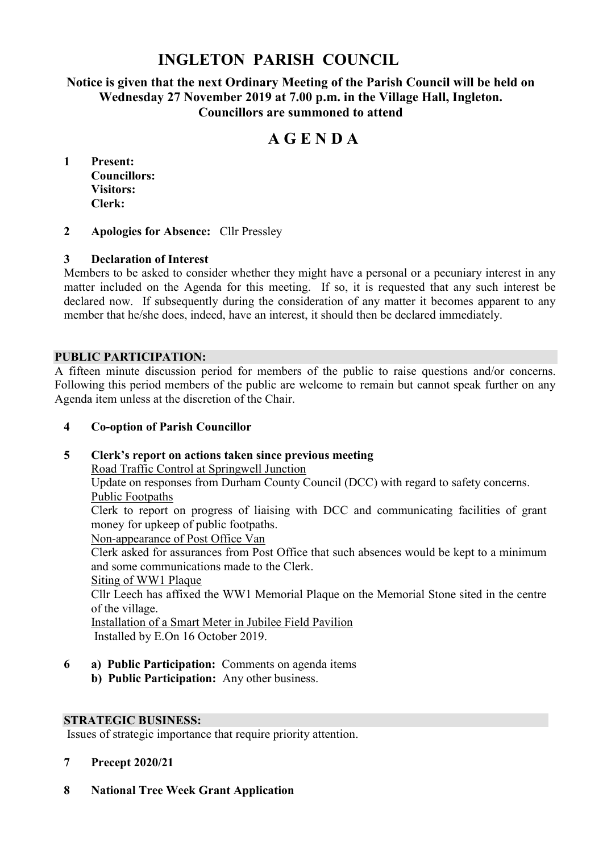# **INGLETON PARISH COUNCIL**

# **Notice is given that the next Ordinary Meeting of the Parish Council will be held on Wednesday 27 November 2019 at 7.00 p.m. in the Village Hall, Ingleton. Councillors are summoned to attend**

# **A G E N D A**

**1 Present: Councillors: Visitors: Clerk:**

#### **2 Apologies for Absence:** Cllr Pressley

#### **3 Declaration of Interest**

Members to be asked to consider whether they might have a personal or a pecuniary interest in any matter included on the Agenda for this meeting. If so, it is requested that any such interest be declared now. If subsequently during the consideration of any matter it becomes apparent to any member that he/she does, indeed, have an interest, it should then be declared immediately.

#### **PUBLIC PARTICIPATION:**

A fifteen minute discussion period for members of the public to raise questions and/or concerns. Following this period members of the public are welcome to remain but cannot speak further on any Agenda item unless at the discretion of the Chair.

#### **4 Co-option of Parish Councillor**

# **5 Clerk's report on actions taken since previous meeting**

Road Traffic Control at Springwell Junction

Update on responses from Durham County Council (DCC) with regard to safety concerns. Public Footpaths

Clerk to report on progress of liaising with DCC and communicating facilities of grant money for upkeep of public footpaths.

Non-appearance of Post Office Van

Clerk asked for assurances from Post Office that such absences would be kept to a minimum and some communications made to the Clerk.

Siting of WW1 Plaque

Cllr Leech has affixed the WW1 Memorial Plaque on the Memorial Stone sited in the centre of the village.

Installation of a Smart Meter in Jubilee Field Pavilion Installed by E.On 16 October 2019.

**6 a) Public Participation:** Comments on agenda items **b) Public Participation:** Any other business.

#### **STRATEGIC BUSINESS:**

Issues of strategic importance that require priority attention.

#### **7 Precept 2020/21**

**8 National Tree Week Grant Application**